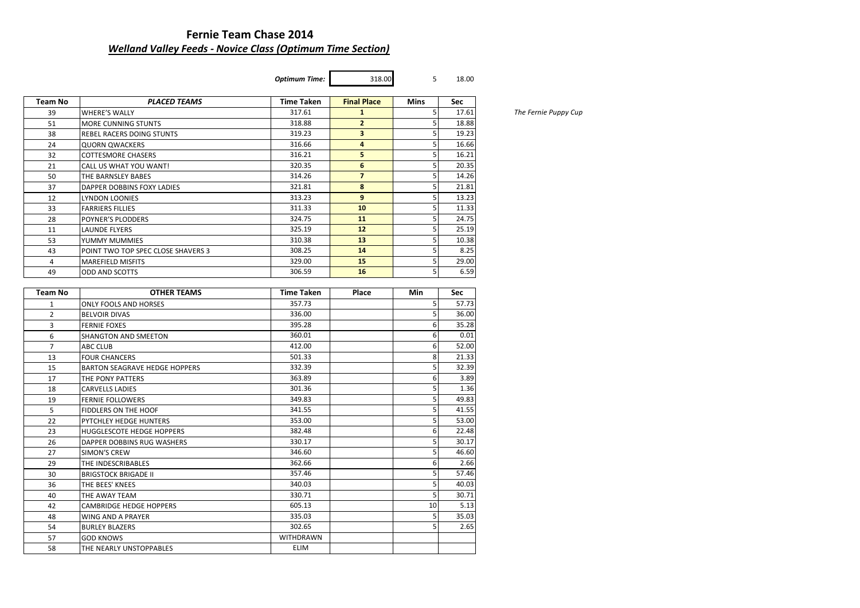# **Fernie Team Chase 2014** *Welland Valley Feeds - Novice Class (Optimum Time Section)*

*Optimum Time:* 318.00 5 18.00

| Team No        | <b>PLACED TEAMS</b>                          | <b>Time Taken</b> | <b>Final Place</b> | Mins | Sec                    |
|----------------|----------------------------------------------|-------------------|--------------------|------|------------------------|
| 39             | <b>WHERE'S WALLY</b>                         | 317.61            | $\mathbf{1}$       | 5    | 17.61                  |
| 51             | MORE CUNNING STUNTS                          | 318.88            | $\overline{2}$     | 5    | 18.88                  |
| 38             | REBEL RACERS DOING STUNTS                    | 319.23            | 3                  | 5    | 19.23                  |
| 24             | <b>QUORN QWACKERS</b>                        | 316.66            | 4                  | 5    | 16.66                  |
| 32             | <b>COTTESMORE CHASERS</b>                    | 316.21            | 5                  | 5    | 16.21                  |
| 21             | CALL US WHAT YOU WANT!                       | 320.35            | 6                  | 5    | 20.35                  |
| 50             | THE BARNSLEY BABES                           | 314.26            | $\overline{7}$     | 5    | 14.26                  |
| 37             | DAPPER DOBBINS FOXY LADIES                   | 321.81            | 8                  | 5    | 21.81                  |
| 12             | LYNDON LOONIES                               | 313.23            | 9                  | 5    | 13.23                  |
| 33             | <b>FARRIERS FILLIES</b>                      | 311.33            | 10                 | 5    | 11.33                  |
| 28             | POYNER'S PLODDERS                            | 324.75            | 11                 | 5    | 24.75                  |
| 11             | LAUNDE FLYERS                                | 325.19            | 12                 | 5    | 25.19                  |
| 53             | YUMMY MUMMIES                                | 310.38            | 13                 | 5    | 10.38                  |
| 43             | POINT TWO TOP SPEC CLOSE SHAVERS 3           | 308.25            | 14                 | 5    | 8.25                   |
| 4              | <b>MAREFIELD MISFITS</b>                     | 329.00            | 15                 | 5    | 29.00                  |
| 49             | ODD AND SCOTTS                               | 306.59            | 16                 | 5    | 6.59                   |
|                |                                              |                   |                    |      |                        |
| Team No        | <b>OTHER TEAMS</b>                           | <b>Time Taken</b> | Place              | Min  | Sec                    |
| 1              | ONLY FOOLS AND HORSES                        | 357.73            |                    | 5    | 57.73                  |
| $\overline{2}$ | <b>BELVOIR DIVAS</b>                         | 336.00            |                    | 5    | 36.00                  |
| 3              | <b>FERNIE FOXES</b>                          | 395.28            |                    | 6    | 35.28                  |
| 6              | SHANGTON AND SMEETON                         | 360.01            |                    | 6    | 0.01                   |
| 7              | ABC CLUB                                     | 412.00            |                    | 6    | 52.00                  |
| 13             | <b>FOUR CHANCERS</b>                         | 501.33            |                    | 8    | 21.33                  |
| 15             | <b>BARTON SEAGRAVE HEDGE HOPPERS</b>         | 332.39            |                    | 5    | 32.39                  |
| 17             | THE PONY PATTERS                             | 363.89            |                    | 6    | 3.89                   |
| 18             | CARVELLS LADIES                              | 301.36            |                    | 5    | 1.36                   |
| 19             | <b>FERNIE FOLLOWERS</b>                      | 349.83            |                    | 5    | 49.83                  |
| 5              | FIDDLERS ON THE HOOF                         | 341.55            |                    | 5    | 41.55                  |
| 22             | PYTCHLEY HEDGE HUNTERS                       | 353.00            |                    | 5    | 53.00                  |
| 23             | HUGGLESCOTE HEDGE HOPPERS                    | 382.48            |                    | 6    | 22.48                  |
| 26             | DAPPER DOBBINS RUG WASHERS                   | 330.17            |                    | 5    | 30.17                  |
| 27             |                                              |                   |                    |      | 46.60                  |
| 29             | SIMON'S CREW                                 | 346.60            |                    | 5    |                        |
|                | THE INDESCRIBABLES                           | 362.66            |                    | 6    |                        |
| 30             | <b>BRIGSTOCK BRIGADE II</b>                  | 357.46            |                    | 5    |                        |
| 36             | THE BEES' KNEES                              | 340.03            |                    | 5    | 2.66<br>57.46<br>40.03 |
| 40             | THE AWAY TEAM                                | 330.71            |                    | 5    | 30.71                  |
| 42             |                                              | 605.13            |                    | 10   |                        |
| 48             | CAMBRIDGE HEDGE HOPPERS<br>WING AND A PRAYER | 335.03            |                    | 5    | 5.13<br>35.03          |
|                |                                              | 302.65            |                    | 5    | 2.65                   |
| 54<br>57       | <b>BURLEY BLAZERS</b><br><b>GOD KNOWS</b>    | WITHDRAWN         |                    |      |                        |

 $The Fernie Puppy Cup$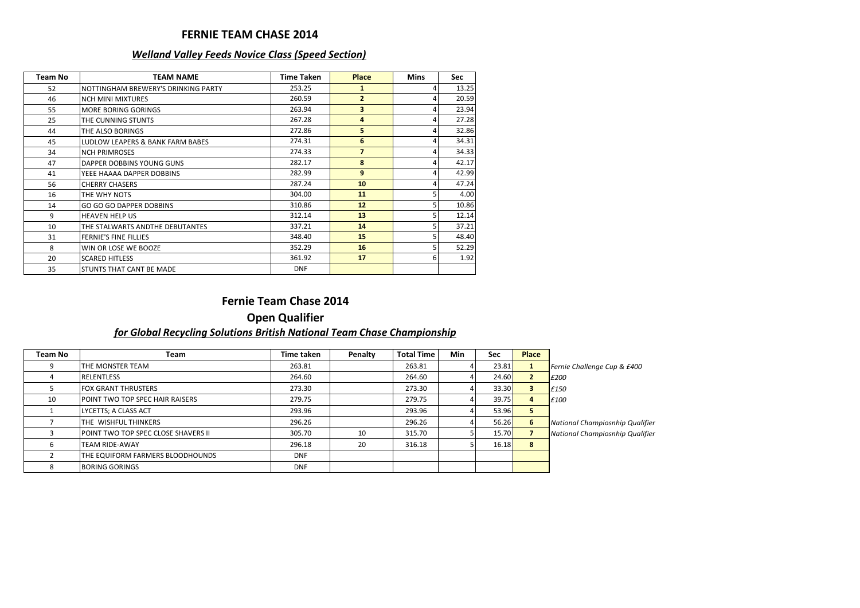#### **FERNIE TEAM CHASE 2014**

#### *Welland Valley Feeds Novice Class (Speed Section)*

| Team No | <b>TEAM NAME</b>                    | <b>Time Taken</b> | <b>Place</b>    | <b>Mins</b> | <b>Sec</b> |
|---------|-------------------------------------|-------------------|-----------------|-------------|------------|
| 52      | NOTTINGHAM BREWERY'S DRINKING PARTY | 253.25            | 1               |             | 13.25      |
| 46      | <b>NCH MINI MIXTURES</b>            | 260.59            | $\overline{2}$  |             | 20.59      |
| 55      | <b>MORE BORING GORINGS</b>          | 263.94            | 3               |             | 23.94      |
| 25      | THE CUNNING STUNTS                  | 267.28            | 4               |             | 27.28      |
| 44      | THE ALSO BORINGS                    | 272.86            | 5               |             | 32.86      |
| 45      | LUDLOW LEAPERS & BANK FARM BABES    | 274.31            | 6               |             | 34.31      |
| 34      | <b>NCH PRIMROSES</b>                | 274.33            | $\overline{7}$  |             | 34.33      |
| 47      | DAPPER DOBBINS YOUNG GUNS           | 282.17            | 8               |             | 42.17      |
| 41      | YEEE HAAAA DAPPER DOBBINS           | 282.99            | 9               |             | 42.99      |
| 56      | <b>CHERRY CHASERS</b>               | 287.24            | 10              |             | 47.24      |
| 16      | THE WHY NOTS                        | 304.00            | 11              |             | 4.00       |
| 14      | <b>GO GO GO DAPPER DOBBINS</b>      | 310.86            | 12 <sup>2</sup> |             | 10.86      |
| 9       | <b>HEAVEN HELP US</b>               | 312.14            | 13              |             | 12.14      |
| 10      | THE STALWARTS ANDTHE DEBUTANTES     | 337.21            | 14              |             | 37.21      |
| 31      | <b>FERNIE'S FINE FILLIES</b>        | 348.40            | 15              |             | 48.40      |
| 8       | WIN OR LOSE WE BOOZE                | 352.29            | 16              |             | 52.29      |
| 20      | <b>SCARED HITLESS</b>               | 361.92            | 17              |             | 1.92       |
| 35      | STUNTS THAT CANT BE MADE            | <b>DNF</b>        |                 |             |            |

## **Fernie Team Chase 2014**

## **Open Qualifier** *for Global Recycling Solutions British National Team Chase Championship*

| Team No | Team                                       | Time taken | Penalty | <b>Total Time</b> | Min | <b>Sec</b> | <b>Place</b>   |                                 |
|---------|--------------------------------------------|------------|---------|-------------------|-----|------------|----------------|---------------------------------|
|         | THE MONSTER TEAM                           | 263.81     |         | 263.81            |     | 23.81      | л.             | Fernie Challenge Cup & £400     |
|         | <b>RELENTLESS</b>                          | 264.60     |         | 264.60            |     | 24.60      | $\overline{2}$ | £200                            |
|         | <b>FOX GRANT THRUSTERS</b>                 | 273.30     |         | 273.30            |     | 33.30      | 3              | £150                            |
| 10      | <b>POINT TWO TOP SPEC HAIR RAISERS</b>     | 279.75     |         | 279.75            |     | 39.75      | 4              | £100                            |
|         | LYCETTS; A CLASS ACT                       | 293.96     |         | 293.96            |     | 53.96      | 5              |                                 |
|         | THE WISHFUL THINKERS                       | 296.26     |         | 296.26            |     | 56.26      | 6              | National Champiosnhip Qualifier |
|         | <b>POINT TWO TOP SPEC CLOSE SHAVERS II</b> | 305.70     | 10      | 315.70            |     | 15.70      |                | National Champiosnhip Qualifier |
| h       | <b>TEAM RIDE-AWAY</b>                      | 296.18     | 20      | 316.18            |     | 16.18      | 8              |                                 |
|         | THE EQUIFORM FARMERS BLOODHOUNDS           | <b>DNF</b> |         |                   |     |            |                |                                 |
|         | <b>BORING GORINGS</b>                      | <b>DNF</b> |         |                   |     |            |                |                                 |